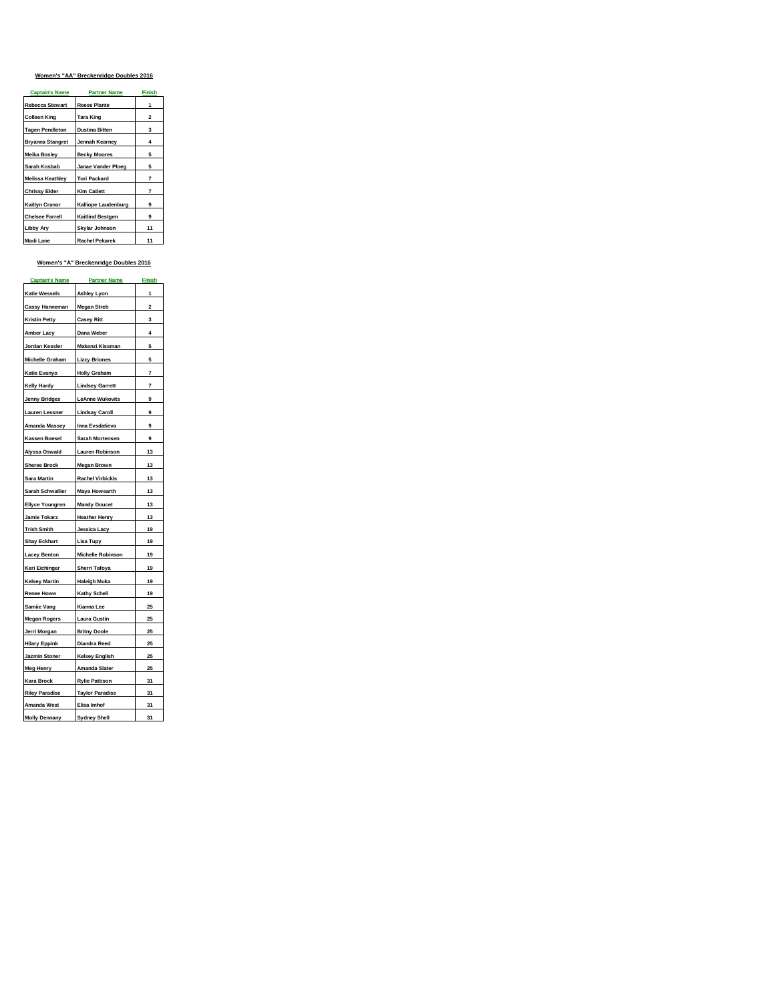# **Women's "AA" Breckenridge Doubles 2016**

| <b>Captain's Name</b>   | <b>Partner Name</b>     | <b>Finish</b> |
|-------------------------|-------------------------|---------------|
| <b>Rebecca Stewart</b>  | <b>Reese Plante</b>     |               |
| Colleen King            | Tara King               | 2             |
| <b>Tagen Pendleton</b>  | <b>Dustina Bitten</b>   | 3             |
| <b>Bryanna Stangret</b> | Jennah Kearnev          | 4             |
| <b>Meika Boslev</b>     | <b>Becky Moores</b>     | 5             |
| Sarah Kosbab            | Janae Vander Ploeg      | 5             |
| <b>Melissa Keathlev</b> | <b>Tori Packard</b>     | 7             |
| <b>Chrissy Elder</b>    | <b>Kim Catlett</b>      | 7             |
| <b>Kaitlyn Cranor</b>   | Kalliope Laudenburg     | 9             |
| <b>Chelsee Farrell</b>  | <b>Kaitlind Bestgen</b> | 9             |
| <b>Libby Ary</b>        | Skylar Johnson          | 11            |
| Madi Lane               | <b>Rachel Pekarek</b>   | 11            |

# **Women's "A" Breckenridge Doubles 2016**

| <b>Captain's Name</b>               | <b>Partner Name</b>                | <b>Finish</b> |
|-------------------------------------|------------------------------------|---------------|
| Katie Wessels                       | <b>Ashley Lyon</b>                 | 1             |
| Cassy Hanneman                      | <b>Megan Streb</b>                 | 2             |
| <b>Kristin Petty</b>                | <b>Casey Ritt</b>                  | 3             |
| Amber Lacy                          | Dana Weber                         | 4             |
| Jordan Kessler                      | Makenzi Kissman                    | 5             |
| Michelle Graham                     | <b>Lizzy Briones</b>               | 5             |
| Katie Evanyo                        | <b>Holly Graham</b>                | 7             |
| Kelly Hardy                         | <b>Lindsey Garrett</b>             | 7             |
| <b>Jenny Bridges</b>                | <b>LeAnne Wukovits</b>             | 9             |
| Lauren Lessner                      | <b>Lindsay Caroll</b>              | 9             |
| <b>Amanda Massey</b>                | Inna Evsdatieva                    | 9             |
| Kassen Boesel                       | Sarah Mortensen                    | 9             |
| Alyssa Oswald                       | Lauren Robinson                    | 13            |
| <b>Sheree Brock</b>                 | <b>Megan Brown</b>                 | 13            |
| Sara Martin                         | <b>Rachel Virbickis</b>            | 13            |
| Sarah Schwallier                    | Maya Howearth                      | 13            |
| <b>Ellyce Youngren</b>              | <b>Mandy Doucet</b>                | 13            |
| Jamie Tokarz                        | <b>Heather Henry</b>               | 13            |
| <b>Trish Smith</b>                  | Jessica Lacy                       | 19            |
| <b>Shay Eckhart</b>                 | Lisa Tupy                          | 19            |
| <b>Lacey Benton</b>                 | Michelle Robinson                  | 19            |
| Keri Eichinger                      | Sherri Tafoya                      | 19            |
| <b>Kelsey Martin</b>                | <b>Haleigh Muka</b>                | 19            |
| Renee Howe                          | <b>Kathy Schell</b>                | 19            |
| Samiie Vang                         | Kianna Lee                         | 25            |
| <b>Megan Rogers</b>                 | Laura Gustin                       | 25            |
| Jerri Morgan                        | <b>Britny Doole</b>                | 25            |
| <b>Hilary Eppink</b>                | Diandra Reed                       | 25            |
| Jazmin Stoner                       | <b>Kelsey English</b>              | 25            |
| Meg Henry                           | Amanda Slater                      | 25            |
| Kara Brock                          | <b>Rylie Pattison</b>              | 31            |
| <b>Riley Paradise</b>               | <b>Taylor Paradise</b>             | 31            |
| Amanda West<br><b>Molly Dennany</b> | Elisa Imhof<br><b>Sydney Shell</b> | 31<br>31      |
|                                     |                                    |               |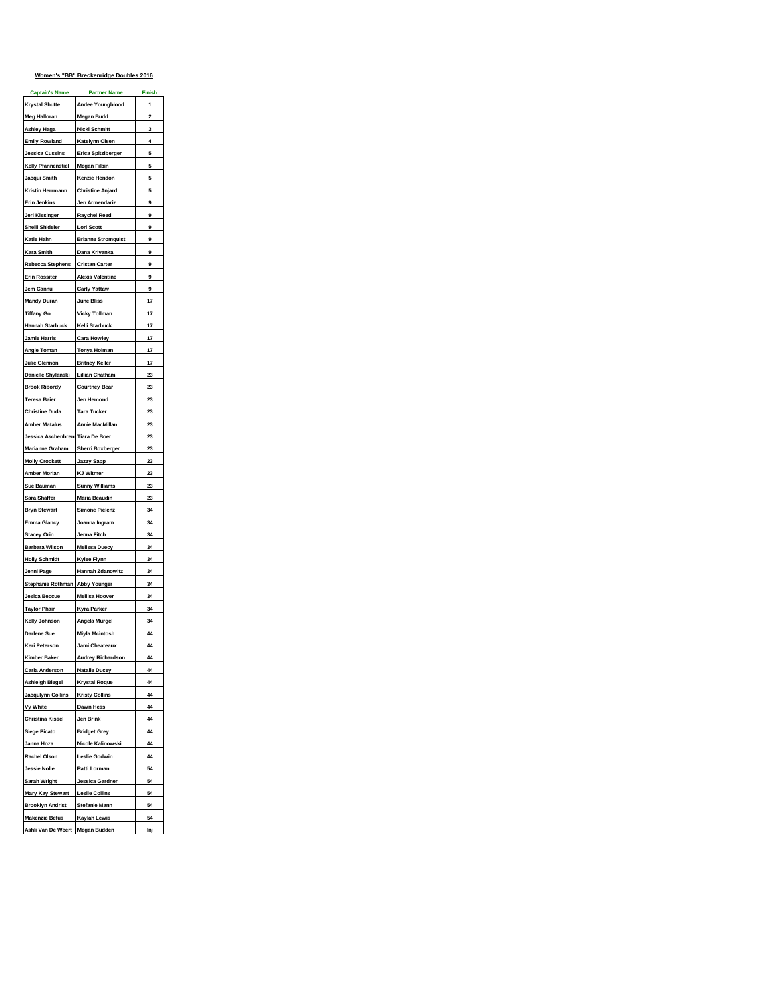# **Women's "BB" Breckenridge Doubles 2016**

| <b>Krystal Shutte</b><br>Andee Youngblood<br>1<br><b>Meg Halloran</b><br>$\overline{a}$<br><b>Megan Budd</b><br>Ashley Haga<br>Nicki Schmitt<br>3<br>4<br><b>Emily Rowland</b><br>Katelynn Olsen<br>Erica Spitzlberger<br>5<br>Jessica Cussins<br><b>Kelly Pfannenstiel</b><br><b>Megan Filbin</b><br>5<br>5<br>Jacqui Smith<br>Kenzie Hendon<br>Kristin Herrmann<br><b>Christine Anjard</b><br>5<br>9<br><u>Erin Jenkins</u><br>Jen Armendariz<br>9<br>Jeri Kissinger<br><b>Raychel Reed</b><br>Shelli Shideler<br><b>Lori Scott</b><br>9<br>Katie Hahn<br><b>Brianne Stromquist</b><br>9<br>Kara Smith<br>Dana Krivanka<br>9<br>9<br>Rebecca Stephens<br><b>Cristan Carter</b><br><b>Erin Rossiter</b><br><b>Alexis Valentine</b><br>9<br>9<br>Jem Cannu<br><b>Carly Yattaw</b><br>Mandy Duran<br>June Bliss<br>17<br><b>Tiffany Go</b><br>17<br><b>Vicky Tollman</b><br>Hannah Starbuck<br>Kelli Starbuck<br>17<br>17<br>Jamie Harris<br><b>Cara Howley</b><br>17<br>Angie Toman<br><b>Tonya Holman</b><br>17<br>Julie Glennon<br><b>Britney Keller</b><br><b>Lillian Chatham</b><br>23<br>Danielle Shylanski<br>23<br><b>Brook Ribordy</b><br><b>Courtney Bear</b><br>23<br><b>Teresa Baier</b><br>Jen Hemond<br>Tara Tucker<br>23<br><b>Christine Duda</b><br><b>Amber Matalus</b><br>Annie MacMillan<br>23<br>Jessica Aschenbreni Tiara De Boer<br>23<br>Marianne Graham<br><b>Sherri Boxberger</b><br>23<br>23<br><b>Molly Crockett</b><br><b>Jazzy Sapp</b><br><b>KJ Witmer</b><br>Amber Morlan<br>23<br><b>Sunny Williams</b><br>Sue Bauman<br>23<br>Sara Shaffer<br>Maria Beaudin<br>23<br><b>Simone Pielenz</b><br>34<br><b>Bryn Stewart</b><br>Emma Glancy<br>34<br>Joanna Ingram<br>34<br><b>Stacey Orin</b><br>Jenna Fitch<br>Barbara Wilson<br><b>Melissa Duecy</b><br>34<br>34<br><b>Holly Schmidt</b><br>Kylee Flynn<br><b>Hannah Zdanowitz</b><br>34<br>Jenni Page<br>Stephanie Rothman<br><b>Abby Younger</b><br>34<br>34<br>Jesica Beccue<br>Mellisa Hoover<br>Taylor Phair<br>Kyra Parker<br>34<br>Kelly Johnson<br>34<br>Angela Murgel<br>Darlene Sue<br>Miyla Mcintosh<br>44<br>44<br>Keri Peterson<br>Jami Cheateaux<br><b>Kimber Baker</b><br><b>Audrey Richardson</b><br>44<br>44<br><b>Carla Anderson</b><br><b>Natalie Ducey</b><br><b>Krystal Roque</b><br>44<br><b>Ashleigh Biegel</b><br><b>Jacqulynn Collins</b><br><b>Kristy Collins</b><br>44<br>Vy White<br>Dawn Hess<br>44<br><b>Christina Kissel</b><br>Jen Brink<br>44<br><b>Siege Picato</b><br><b>Bridget Grey</b><br>44<br>Nicole Kalinowski<br>44<br>Janna Hoza<br>Rachel Olson<br><b>Leslie Godwin</b><br>44<br>Patti Lorman<br><b>Jessie Nolle</b><br>54<br>Sarah Wright<br>Jessica Gardner<br>54<br><b>Mary Kay Stewart</b><br><b>Leslie Collins</b><br>54<br><b>Brooklyn Andrist</b><br><b>Stefanie Mann</b><br>54<br><b>Makenzie Befus</b><br><b>Kaylah Lewis</b><br>54<br><b>Megan Budden</b><br>Inj | <b>Captain's Name</b> | <b>Partner Name</b> | <b>Finish</b> |
|------------------------------------------------------------------------------------------------------------------------------------------------------------------------------------------------------------------------------------------------------------------------------------------------------------------------------------------------------------------------------------------------------------------------------------------------------------------------------------------------------------------------------------------------------------------------------------------------------------------------------------------------------------------------------------------------------------------------------------------------------------------------------------------------------------------------------------------------------------------------------------------------------------------------------------------------------------------------------------------------------------------------------------------------------------------------------------------------------------------------------------------------------------------------------------------------------------------------------------------------------------------------------------------------------------------------------------------------------------------------------------------------------------------------------------------------------------------------------------------------------------------------------------------------------------------------------------------------------------------------------------------------------------------------------------------------------------------------------------------------------------------------------------------------------------------------------------------------------------------------------------------------------------------------------------------------------------------------------------------------------------------------------------------------------------------------------------------------------------------------------------------------------------------------------------------------------------------------------------------------------------------------------------------------------------------------------------------------------------------------------------------------------------------------------------------------------------------------------------------------------------------------------------------------------------------------------------------------------------------------------------------------------------------------------------------------------------------------------------------------------------------------------------------------------------------------------------------------------------------------------------------------------|-----------------------|---------------------|---------------|
|                                                                                                                                                                                                                                                                                                                                                                                                                                                                                                                                                                                                                                                                                                                                                                                                                                                                                                                                                                                                                                                                                                                                                                                                                                                                                                                                                                                                                                                                                                                                                                                                                                                                                                                                                                                                                                                                                                                                                                                                                                                                                                                                                                                                                                                                                                                                                                                                                                                                                                                                                                                                                                                                                                                                                                                                                                                                                                      |                       |                     |               |
|                                                                                                                                                                                                                                                                                                                                                                                                                                                                                                                                                                                                                                                                                                                                                                                                                                                                                                                                                                                                                                                                                                                                                                                                                                                                                                                                                                                                                                                                                                                                                                                                                                                                                                                                                                                                                                                                                                                                                                                                                                                                                                                                                                                                                                                                                                                                                                                                                                                                                                                                                                                                                                                                                                                                                                                                                                                                                                      |                       |                     |               |
|                                                                                                                                                                                                                                                                                                                                                                                                                                                                                                                                                                                                                                                                                                                                                                                                                                                                                                                                                                                                                                                                                                                                                                                                                                                                                                                                                                                                                                                                                                                                                                                                                                                                                                                                                                                                                                                                                                                                                                                                                                                                                                                                                                                                                                                                                                                                                                                                                                                                                                                                                                                                                                                                                                                                                                                                                                                                                                      |                       |                     |               |
|                                                                                                                                                                                                                                                                                                                                                                                                                                                                                                                                                                                                                                                                                                                                                                                                                                                                                                                                                                                                                                                                                                                                                                                                                                                                                                                                                                                                                                                                                                                                                                                                                                                                                                                                                                                                                                                                                                                                                                                                                                                                                                                                                                                                                                                                                                                                                                                                                                                                                                                                                                                                                                                                                                                                                                                                                                                                                                      |                       |                     |               |
|                                                                                                                                                                                                                                                                                                                                                                                                                                                                                                                                                                                                                                                                                                                                                                                                                                                                                                                                                                                                                                                                                                                                                                                                                                                                                                                                                                                                                                                                                                                                                                                                                                                                                                                                                                                                                                                                                                                                                                                                                                                                                                                                                                                                                                                                                                                                                                                                                                                                                                                                                                                                                                                                                                                                                                                                                                                                                                      |                       |                     |               |
|                                                                                                                                                                                                                                                                                                                                                                                                                                                                                                                                                                                                                                                                                                                                                                                                                                                                                                                                                                                                                                                                                                                                                                                                                                                                                                                                                                                                                                                                                                                                                                                                                                                                                                                                                                                                                                                                                                                                                                                                                                                                                                                                                                                                                                                                                                                                                                                                                                                                                                                                                                                                                                                                                                                                                                                                                                                                                                      |                       |                     |               |
|                                                                                                                                                                                                                                                                                                                                                                                                                                                                                                                                                                                                                                                                                                                                                                                                                                                                                                                                                                                                                                                                                                                                                                                                                                                                                                                                                                                                                                                                                                                                                                                                                                                                                                                                                                                                                                                                                                                                                                                                                                                                                                                                                                                                                                                                                                                                                                                                                                                                                                                                                                                                                                                                                                                                                                                                                                                                                                      |                       |                     |               |
|                                                                                                                                                                                                                                                                                                                                                                                                                                                                                                                                                                                                                                                                                                                                                                                                                                                                                                                                                                                                                                                                                                                                                                                                                                                                                                                                                                                                                                                                                                                                                                                                                                                                                                                                                                                                                                                                                                                                                                                                                                                                                                                                                                                                                                                                                                                                                                                                                                                                                                                                                                                                                                                                                                                                                                                                                                                                                                      |                       |                     |               |
|                                                                                                                                                                                                                                                                                                                                                                                                                                                                                                                                                                                                                                                                                                                                                                                                                                                                                                                                                                                                                                                                                                                                                                                                                                                                                                                                                                                                                                                                                                                                                                                                                                                                                                                                                                                                                                                                                                                                                                                                                                                                                                                                                                                                                                                                                                                                                                                                                                                                                                                                                                                                                                                                                                                                                                                                                                                                                                      |                       |                     |               |
|                                                                                                                                                                                                                                                                                                                                                                                                                                                                                                                                                                                                                                                                                                                                                                                                                                                                                                                                                                                                                                                                                                                                                                                                                                                                                                                                                                                                                                                                                                                                                                                                                                                                                                                                                                                                                                                                                                                                                                                                                                                                                                                                                                                                                                                                                                                                                                                                                                                                                                                                                                                                                                                                                                                                                                                                                                                                                                      |                       |                     |               |
|                                                                                                                                                                                                                                                                                                                                                                                                                                                                                                                                                                                                                                                                                                                                                                                                                                                                                                                                                                                                                                                                                                                                                                                                                                                                                                                                                                                                                                                                                                                                                                                                                                                                                                                                                                                                                                                                                                                                                                                                                                                                                                                                                                                                                                                                                                                                                                                                                                                                                                                                                                                                                                                                                                                                                                                                                                                                                                      |                       |                     |               |
|                                                                                                                                                                                                                                                                                                                                                                                                                                                                                                                                                                                                                                                                                                                                                                                                                                                                                                                                                                                                                                                                                                                                                                                                                                                                                                                                                                                                                                                                                                                                                                                                                                                                                                                                                                                                                                                                                                                                                                                                                                                                                                                                                                                                                                                                                                                                                                                                                                                                                                                                                                                                                                                                                                                                                                                                                                                                                                      |                       |                     |               |
|                                                                                                                                                                                                                                                                                                                                                                                                                                                                                                                                                                                                                                                                                                                                                                                                                                                                                                                                                                                                                                                                                                                                                                                                                                                                                                                                                                                                                                                                                                                                                                                                                                                                                                                                                                                                                                                                                                                                                                                                                                                                                                                                                                                                                                                                                                                                                                                                                                                                                                                                                                                                                                                                                                                                                                                                                                                                                                      |                       |                     |               |
|                                                                                                                                                                                                                                                                                                                                                                                                                                                                                                                                                                                                                                                                                                                                                                                                                                                                                                                                                                                                                                                                                                                                                                                                                                                                                                                                                                                                                                                                                                                                                                                                                                                                                                                                                                                                                                                                                                                                                                                                                                                                                                                                                                                                                                                                                                                                                                                                                                                                                                                                                                                                                                                                                                                                                                                                                                                                                                      |                       |                     |               |
|                                                                                                                                                                                                                                                                                                                                                                                                                                                                                                                                                                                                                                                                                                                                                                                                                                                                                                                                                                                                                                                                                                                                                                                                                                                                                                                                                                                                                                                                                                                                                                                                                                                                                                                                                                                                                                                                                                                                                                                                                                                                                                                                                                                                                                                                                                                                                                                                                                                                                                                                                                                                                                                                                                                                                                                                                                                                                                      |                       |                     |               |
|                                                                                                                                                                                                                                                                                                                                                                                                                                                                                                                                                                                                                                                                                                                                                                                                                                                                                                                                                                                                                                                                                                                                                                                                                                                                                                                                                                                                                                                                                                                                                                                                                                                                                                                                                                                                                                                                                                                                                                                                                                                                                                                                                                                                                                                                                                                                                                                                                                                                                                                                                                                                                                                                                                                                                                                                                                                                                                      |                       |                     |               |
|                                                                                                                                                                                                                                                                                                                                                                                                                                                                                                                                                                                                                                                                                                                                                                                                                                                                                                                                                                                                                                                                                                                                                                                                                                                                                                                                                                                                                                                                                                                                                                                                                                                                                                                                                                                                                                                                                                                                                                                                                                                                                                                                                                                                                                                                                                                                                                                                                                                                                                                                                                                                                                                                                                                                                                                                                                                                                                      |                       |                     |               |
|                                                                                                                                                                                                                                                                                                                                                                                                                                                                                                                                                                                                                                                                                                                                                                                                                                                                                                                                                                                                                                                                                                                                                                                                                                                                                                                                                                                                                                                                                                                                                                                                                                                                                                                                                                                                                                                                                                                                                                                                                                                                                                                                                                                                                                                                                                                                                                                                                                                                                                                                                                                                                                                                                                                                                                                                                                                                                                      |                       |                     |               |
|                                                                                                                                                                                                                                                                                                                                                                                                                                                                                                                                                                                                                                                                                                                                                                                                                                                                                                                                                                                                                                                                                                                                                                                                                                                                                                                                                                                                                                                                                                                                                                                                                                                                                                                                                                                                                                                                                                                                                                                                                                                                                                                                                                                                                                                                                                                                                                                                                                                                                                                                                                                                                                                                                                                                                                                                                                                                                                      |                       |                     |               |
|                                                                                                                                                                                                                                                                                                                                                                                                                                                                                                                                                                                                                                                                                                                                                                                                                                                                                                                                                                                                                                                                                                                                                                                                                                                                                                                                                                                                                                                                                                                                                                                                                                                                                                                                                                                                                                                                                                                                                                                                                                                                                                                                                                                                                                                                                                                                                                                                                                                                                                                                                                                                                                                                                                                                                                                                                                                                                                      |                       |                     |               |
|                                                                                                                                                                                                                                                                                                                                                                                                                                                                                                                                                                                                                                                                                                                                                                                                                                                                                                                                                                                                                                                                                                                                                                                                                                                                                                                                                                                                                                                                                                                                                                                                                                                                                                                                                                                                                                                                                                                                                                                                                                                                                                                                                                                                                                                                                                                                                                                                                                                                                                                                                                                                                                                                                                                                                                                                                                                                                                      |                       |                     |               |
|                                                                                                                                                                                                                                                                                                                                                                                                                                                                                                                                                                                                                                                                                                                                                                                                                                                                                                                                                                                                                                                                                                                                                                                                                                                                                                                                                                                                                                                                                                                                                                                                                                                                                                                                                                                                                                                                                                                                                                                                                                                                                                                                                                                                                                                                                                                                                                                                                                                                                                                                                                                                                                                                                                                                                                                                                                                                                                      |                       |                     |               |
|                                                                                                                                                                                                                                                                                                                                                                                                                                                                                                                                                                                                                                                                                                                                                                                                                                                                                                                                                                                                                                                                                                                                                                                                                                                                                                                                                                                                                                                                                                                                                                                                                                                                                                                                                                                                                                                                                                                                                                                                                                                                                                                                                                                                                                                                                                                                                                                                                                                                                                                                                                                                                                                                                                                                                                                                                                                                                                      |                       |                     |               |
|                                                                                                                                                                                                                                                                                                                                                                                                                                                                                                                                                                                                                                                                                                                                                                                                                                                                                                                                                                                                                                                                                                                                                                                                                                                                                                                                                                                                                                                                                                                                                                                                                                                                                                                                                                                                                                                                                                                                                                                                                                                                                                                                                                                                                                                                                                                                                                                                                                                                                                                                                                                                                                                                                                                                                                                                                                                                                                      |                       |                     |               |
|                                                                                                                                                                                                                                                                                                                                                                                                                                                                                                                                                                                                                                                                                                                                                                                                                                                                                                                                                                                                                                                                                                                                                                                                                                                                                                                                                                                                                                                                                                                                                                                                                                                                                                                                                                                                                                                                                                                                                                                                                                                                                                                                                                                                                                                                                                                                                                                                                                                                                                                                                                                                                                                                                                                                                                                                                                                                                                      |                       |                     |               |
|                                                                                                                                                                                                                                                                                                                                                                                                                                                                                                                                                                                                                                                                                                                                                                                                                                                                                                                                                                                                                                                                                                                                                                                                                                                                                                                                                                                                                                                                                                                                                                                                                                                                                                                                                                                                                                                                                                                                                                                                                                                                                                                                                                                                                                                                                                                                                                                                                                                                                                                                                                                                                                                                                                                                                                                                                                                                                                      |                       |                     |               |
|                                                                                                                                                                                                                                                                                                                                                                                                                                                                                                                                                                                                                                                                                                                                                                                                                                                                                                                                                                                                                                                                                                                                                                                                                                                                                                                                                                                                                                                                                                                                                                                                                                                                                                                                                                                                                                                                                                                                                                                                                                                                                                                                                                                                                                                                                                                                                                                                                                                                                                                                                                                                                                                                                                                                                                                                                                                                                                      |                       |                     |               |
|                                                                                                                                                                                                                                                                                                                                                                                                                                                                                                                                                                                                                                                                                                                                                                                                                                                                                                                                                                                                                                                                                                                                                                                                                                                                                                                                                                                                                                                                                                                                                                                                                                                                                                                                                                                                                                                                                                                                                                                                                                                                                                                                                                                                                                                                                                                                                                                                                                                                                                                                                                                                                                                                                                                                                                                                                                                                                                      |                       |                     |               |
|                                                                                                                                                                                                                                                                                                                                                                                                                                                                                                                                                                                                                                                                                                                                                                                                                                                                                                                                                                                                                                                                                                                                                                                                                                                                                                                                                                                                                                                                                                                                                                                                                                                                                                                                                                                                                                                                                                                                                                                                                                                                                                                                                                                                                                                                                                                                                                                                                                                                                                                                                                                                                                                                                                                                                                                                                                                                                                      |                       |                     |               |
|                                                                                                                                                                                                                                                                                                                                                                                                                                                                                                                                                                                                                                                                                                                                                                                                                                                                                                                                                                                                                                                                                                                                                                                                                                                                                                                                                                                                                                                                                                                                                                                                                                                                                                                                                                                                                                                                                                                                                                                                                                                                                                                                                                                                                                                                                                                                                                                                                                                                                                                                                                                                                                                                                                                                                                                                                                                                                                      |                       |                     |               |
|                                                                                                                                                                                                                                                                                                                                                                                                                                                                                                                                                                                                                                                                                                                                                                                                                                                                                                                                                                                                                                                                                                                                                                                                                                                                                                                                                                                                                                                                                                                                                                                                                                                                                                                                                                                                                                                                                                                                                                                                                                                                                                                                                                                                                                                                                                                                                                                                                                                                                                                                                                                                                                                                                                                                                                                                                                                                                                      |                       |                     |               |
|                                                                                                                                                                                                                                                                                                                                                                                                                                                                                                                                                                                                                                                                                                                                                                                                                                                                                                                                                                                                                                                                                                                                                                                                                                                                                                                                                                                                                                                                                                                                                                                                                                                                                                                                                                                                                                                                                                                                                                                                                                                                                                                                                                                                                                                                                                                                                                                                                                                                                                                                                                                                                                                                                                                                                                                                                                                                                                      |                       |                     |               |
|                                                                                                                                                                                                                                                                                                                                                                                                                                                                                                                                                                                                                                                                                                                                                                                                                                                                                                                                                                                                                                                                                                                                                                                                                                                                                                                                                                                                                                                                                                                                                                                                                                                                                                                                                                                                                                                                                                                                                                                                                                                                                                                                                                                                                                                                                                                                                                                                                                                                                                                                                                                                                                                                                                                                                                                                                                                                                                      |                       |                     |               |
|                                                                                                                                                                                                                                                                                                                                                                                                                                                                                                                                                                                                                                                                                                                                                                                                                                                                                                                                                                                                                                                                                                                                                                                                                                                                                                                                                                                                                                                                                                                                                                                                                                                                                                                                                                                                                                                                                                                                                                                                                                                                                                                                                                                                                                                                                                                                                                                                                                                                                                                                                                                                                                                                                                                                                                                                                                                                                                      |                       |                     |               |
|                                                                                                                                                                                                                                                                                                                                                                                                                                                                                                                                                                                                                                                                                                                                                                                                                                                                                                                                                                                                                                                                                                                                                                                                                                                                                                                                                                                                                                                                                                                                                                                                                                                                                                                                                                                                                                                                                                                                                                                                                                                                                                                                                                                                                                                                                                                                                                                                                                                                                                                                                                                                                                                                                                                                                                                                                                                                                                      |                       |                     |               |
|                                                                                                                                                                                                                                                                                                                                                                                                                                                                                                                                                                                                                                                                                                                                                                                                                                                                                                                                                                                                                                                                                                                                                                                                                                                                                                                                                                                                                                                                                                                                                                                                                                                                                                                                                                                                                                                                                                                                                                                                                                                                                                                                                                                                                                                                                                                                                                                                                                                                                                                                                                                                                                                                                                                                                                                                                                                                                                      |                       |                     |               |
|                                                                                                                                                                                                                                                                                                                                                                                                                                                                                                                                                                                                                                                                                                                                                                                                                                                                                                                                                                                                                                                                                                                                                                                                                                                                                                                                                                                                                                                                                                                                                                                                                                                                                                                                                                                                                                                                                                                                                                                                                                                                                                                                                                                                                                                                                                                                                                                                                                                                                                                                                                                                                                                                                                                                                                                                                                                                                                      |                       |                     |               |
|                                                                                                                                                                                                                                                                                                                                                                                                                                                                                                                                                                                                                                                                                                                                                                                                                                                                                                                                                                                                                                                                                                                                                                                                                                                                                                                                                                                                                                                                                                                                                                                                                                                                                                                                                                                                                                                                                                                                                                                                                                                                                                                                                                                                                                                                                                                                                                                                                                                                                                                                                                                                                                                                                                                                                                                                                                                                                                      |                       |                     |               |
|                                                                                                                                                                                                                                                                                                                                                                                                                                                                                                                                                                                                                                                                                                                                                                                                                                                                                                                                                                                                                                                                                                                                                                                                                                                                                                                                                                                                                                                                                                                                                                                                                                                                                                                                                                                                                                                                                                                                                                                                                                                                                                                                                                                                                                                                                                                                                                                                                                                                                                                                                                                                                                                                                                                                                                                                                                                                                                      |                       |                     |               |
|                                                                                                                                                                                                                                                                                                                                                                                                                                                                                                                                                                                                                                                                                                                                                                                                                                                                                                                                                                                                                                                                                                                                                                                                                                                                                                                                                                                                                                                                                                                                                                                                                                                                                                                                                                                                                                                                                                                                                                                                                                                                                                                                                                                                                                                                                                                                                                                                                                                                                                                                                                                                                                                                                                                                                                                                                                                                                                      |                       |                     |               |
|                                                                                                                                                                                                                                                                                                                                                                                                                                                                                                                                                                                                                                                                                                                                                                                                                                                                                                                                                                                                                                                                                                                                                                                                                                                                                                                                                                                                                                                                                                                                                                                                                                                                                                                                                                                                                                                                                                                                                                                                                                                                                                                                                                                                                                                                                                                                                                                                                                                                                                                                                                                                                                                                                                                                                                                                                                                                                                      |                       |                     |               |
|                                                                                                                                                                                                                                                                                                                                                                                                                                                                                                                                                                                                                                                                                                                                                                                                                                                                                                                                                                                                                                                                                                                                                                                                                                                                                                                                                                                                                                                                                                                                                                                                                                                                                                                                                                                                                                                                                                                                                                                                                                                                                                                                                                                                                                                                                                                                                                                                                                                                                                                                                                                                                                                                                                                                                                                                                                                                                                      |                       |                     |               |
|                                                                                                                                                                                                                                                                                                                                                                                                                                                                                                                                                                                                                                                                                                                                                                                                                                                                                                                                                                                                                                                                                                                                                                                                                                                                                                                                                                                                                                                                                                                                                                                                                                                                                                                                                                                                                                                                                                                                                                                                                                                                                                                                                                                                                                                                                                                                                                                                                                                                                                                                                                                                                                                                                                                                                                                                                                                                                                      |                       |                     |               |
|                                                                                                                                                                                                                                                                                                                                                                                                                                                                                                                                                                                                                                                                                                                                                                                                                                                                                                                                                                                                                                                                                                                                                                                                                                                                                                                                                                                                                                                                                                                                                                                                                                                                                                                                                                                                                                                                                                                                                                                                                                                                                                                                                                                                                                                                                                                                                                                                                                                                                                                                                                                                                                                                                                                                                                                                                                                                                                      |                       |                     |               |
|                                                                                                                                                                                                                                                                                                                                                                                                                                                                                                                                                                                                                                                                                                                                                                                                                                                                                                                                                                                                                                                                                                                                                                                                                                                                                                                                                                                                                                                                                                                                                                                                                                                                                                                                                                                                                                                                                                                                                                                                                                                                                                                                                                                                                                                                                                                                                                                                                                                                                                                                                                                                                                                                                                                                                                                                                                                                                                      |                       |                     |               |
|                                                                                                                                                                                                                                                                                                                                                                                                                                                                                                                                                                                                                                                                                                                                                                                                                                                                                                                                                                                                                                                                                                                                                                                                                                                                                                                                                                                                                                                                                                                                                                                                                                                                                                                                                                                                                                                                                                                                                                                                                                                                                                                                                                                                                                                                                                                                                                                                                                                                                                                                                                                                                                                                                                                                                                                                                                                                                                      |                       |                     |               |
|                                                                                                                                                                                                                                                                                                                                                                                                                                                                                                                                                                                                                                                                                                                                                                                                                                                                                                                                                                                                                                                                                                                                                                                                                                                                                                                                                                                                                                                                                                                                                                                                                                                                                                                                                                                                                                                                                                                                                                                                                                                                                                                                                                                                                                                                                                                                                                                                                                                                                                                                                                                                                                                                                                                                                                                                                                                                                                      |                       |                     |               |
|                                                                                                                                                                                                                                                                                                                                                                                                                                                                                                                                                                                                                                                                                                                                                                                                                                                                                                                                                                                                                                                                                                                                                                                                                                                                                                                                                                                                                                                                                                                                                                                                                                                                                                                                                                                                                                                                                                                                                                                                                                                                                                                                                                                                                                                                                                                                                                                                                                                                                                                                                                                                                                                                                                                                                                                                                                                                                                      |                       |                     |               |
|                                                                                                                                                                                                                                                                                                                                                                                                                                                                                                                                                                                                                                                                                                                                                                                                                                                                                                                                                                                                                                                                                                                                                                                                                                                                                                                                                                                                                                                                                                                                                                                                                                                                                                                                                                                                                                                                                                                                                                                                                                                                                                                                                                                                                                                                                                                                                                                                                                                                                                                                                                                                                                                                                                                                                                                                                                                                                                      |                       |                     |               |
|                                                                                                                                                                                                                                                                                                                                                                                                                                                                                                                                                                                                                                                                                                                                                                                                                                                                                                                                                                                                                                                                                                                                                                                                                                                                                                                                                                                                                                                                                                                                                                                                                                                                                                                                                                                                                                                                                                                                                                                                                                                                                                                                                                                                                                                                                                                                                                                                                                                                                                                                                                                                                                                                                                                                                                                                                                                                                                      |                       |                     |               |
|                                                                                                                                                                                                                                                                                                                                                                                                                                                                                                                                                                                                                                                                                                                                                                                                                                                                                                                                                                                                                                                                                                                                                                                                                                                                                                                                                                                                                                                                                                                                                                                                                                                                                                                                                                                                                                                                                                                                                                                                                                                                                                                                                                                                                                                                                                                                                                                                                                                                                                                                                                                                                                                                                                                                                                                                                                                                                                      |                       |                     |               |
|                                                                                                                                                                                                                                                                                                                                                                                                                                                                                                                                                                                                                                                                                                                                                                                                                                                                                                                                                                                                                                                                                                                                                                                                                                                                                                                                                                                                                                                                                                                                                                                                                                                                                                                                                                                                                                                                                                                                                                                                                                                                                                                                                                                                                                                                                                                                                                                                                                                                                                                                                                                                                                                                                                                                                                                                                                                                                                      |                       |                     |               |
|                                                                                                                                                                                                                                                                                                                                                                                                                                                                                                                                                                                                                                                                                                                                                                                                                                                                                                                                                                                                                                                                                                                                                                                                                                                                                                                                                                                                                                                                                                                                                                                                                                                                                                                                                                                                                                                                                                                                                                                                                                                                                                                                                                                                                                                                                                                                                                                                                                                                                                                                                                                                                                                                                                                                                                                                                                                                                                      |                       |                     |               |
|                                                                                                                                                                                                                                                                                                                                                                                                                                                                                                                                                                                                                                                                                                                                                                                                                                                                                                                                                                                                                                                                                                                                                                                                                                                                                                                                                                                                                                                                                                                                                                                                                                                                                                                                                                                                                                                                                                                                                                                                                                                                                                                                                                                                                                                                                                                                                                                                                                                                                                                                                                                                                                                                                                                                                                                                                                                                                                      |                       |                     |               |
|                                                                                                                                                                                                                                                                                                                                                                                                                                                                                                                                                                                                                                                                                                                                                                                                                                                                                                                                                                                                                                                                                                                                                                                                                                                                                                                                                                                                                                                                                                                                                                                                                                                                                                                                                                                                                                                                                                                                                                                                                                                                                                                                                                                                                                                                                                                                                                                                                                                                                                                                                                                                                                                                                                                                                                                                                                                                                                      |                       |                     |               |
|                                                                                                                                                                                                                                                                                                                                                                                                                                                                                                                                                                                                                                                                                                                                                                                                                                                                                                                                                                                                                                                                                                                                                                                                                                                                                                                                                                                                                                                                                                                                                                                                                                                                                                                                                                                                                                                                                                                                                                                                                                                                                                                                                                                                                                                                                                                                                                                                                                                                                                                                                                                                                                                                                                                                                                                                                                                                                                      |                       |                     |               |
|                                                                                                                                                                                                                                                                                                                                                                                                                                                                                                                                                                                                                                                                                                                                                                                                                                                                                                                                                                                                                                                                                                                                                                                                                                                                                                                                                                                                                                                                                                                                                                                                                                                                                                                                                                                                                                                                                                                                                                                                                                                                                                                                                                                                                                                                                                                                                                                                                                                                                                                                                                                                                                                                                                                                                                                                                                                                                                      |                       |                     |               |
|                                                                                                                                                                                                                                                                                                                                                                                                                                                                                                                                                                                                                                                                                                                                                                                                                                                                                                                                                                                                                                                                                                                                                                                                                                                                                                                                                                                                                                                                                                                                                                                                                                                                                                                                                                                                                                                                                                                                                                                                                                                                                                                                                                                                                                                                                                                                                                                                                                                                                                                                                                                                                                                                                                                                                                                                                                                                                                      |                       |                     |               |
|                                                                                                                                                                                                                                                                                                                                                                                                                                                                                                                                                                                                                                                                                                                                                                                                                                                                                                                                                                                                                                                                                                                                                                                                                                                                                                                                                                                                                                                                                                                                                                                                                                                                                                                                                                                                                                                                                                                                                                                                                                                                                                                                                                                                                                                                                                                                                                                                                                                                                                                                                                                                                                                                                                                                                                                                                                                                                                      |                       |                     |               |
|                                                                                                                                                                                                                                                                                                                                                                                                                                                                                                                                                                                                                                                                                                                                                                                                                                                                                                                                                                                                                                                                                                                                                                                                                                                                                                                                                                                                                                                                                                                                                                                                                                                                                                                                                                                                                                                                                                                                                                                                                                                                                                                                                                                                                                                                                                                                                                                                                                                                                                                                                                                                                                                                                                                                                                                                                                                                                                      |                       |                     |               |
|                                                                                                                                                                                                                                                                                                                                                                                                                                                                                                                                                                                                                                                                                                                                                                                                                                                                                                                                                                                                                                                                                                                                                                                                                                                                                                                                                                                                                                                                                                                                                                                                                                                                                                                                                                                                                                                                                                                                                                                                                                                                                                                                                                                                                                                                                                                                                                                                                                                                                                                                                                                                                                                                                                                                                                                                                                                                                                      | Ashli Van De Weert    |                     |               |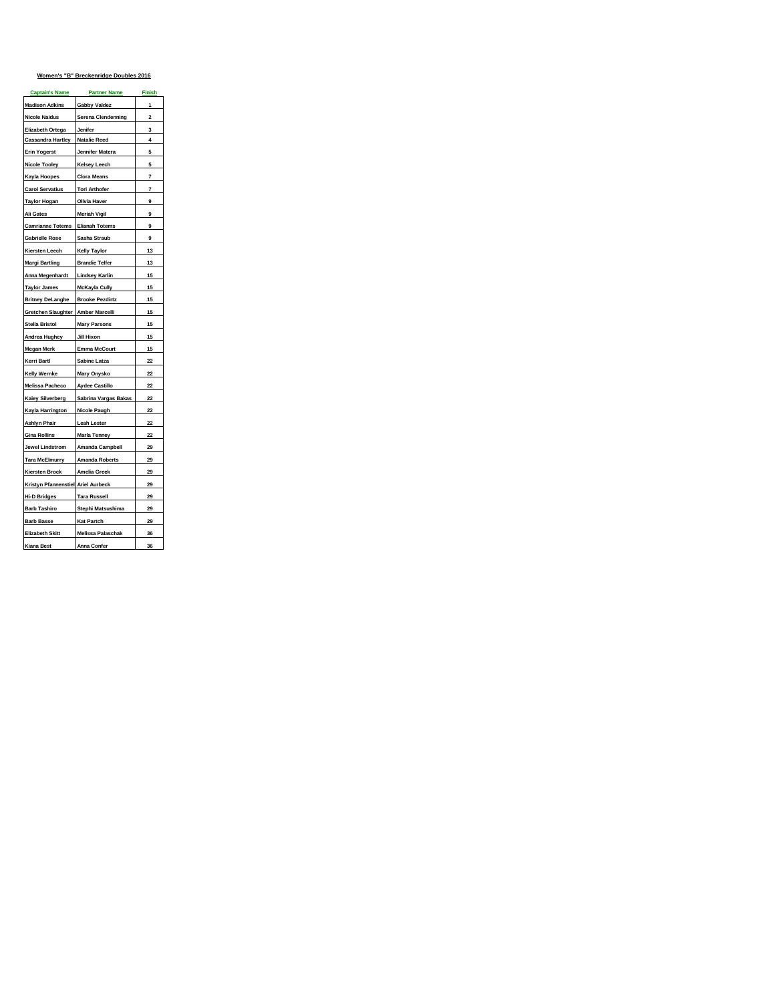# **Women's "B" Breckenridge Doubles 2016**

| <b>Captain's Name</b>              | <b>Partner Name</b>      | <u>Finish</u> |
|------------------------------------|--------------------------|---------------|
| <b>Madison Adkins</b>              | <b>Gabby Valdez</b>      | 1             |
| <b>Nicole Naidus</b>               | Serena Clendenning       | 2             |
| Elizabeth Ortega                   | Jenifer                  | 3             |
| <b>Cassandra Hartley</b>           | <b>Natalie Reed</b>      | 4             |
| <b>Erin Yogerst</b>                | Jennifer Matera          | 5             |
| <b>Nicole Tooley</b>               | <b>Kelsey Leech</b>      | 5             |
| Kayla Hoopes                       | <b>Clora Means</b>       | 7             |
| <b>Carol Servatius</b>             | <b>Tori Arthofer</b>     | 7             |
| Taylor Hogan                       | Olivia Haver             | 9             |
| Ali Gates                          | <b>Meriah Vigil</b>      | 9             |
| <b>Camrianne Totems</b>            | <b>Elianah Totems</b>    | 9             |
| <b>Gabrielle Rose</b>              | Sasha Straub             | 9             |
| Kiersten Leech                     | <b>Kelly Taylor</b>      | 13            |
| <b>Margi Bartling</b>              | <b>Brandie Telfer</b>    | 13            |
| Anna Megenhardt                    | <b>Lindsey Karlin</b>    | 15            |
| <b>Taylor James</b>                | <b>McKayla Cully</b>     | 15            |
| <b>Britney DeLanghe</b>            | <b>Brooke Pezdirtz</b>   | 15            |
| <b>Gretchen Slaughter</b>          | Amber Marcelli           | 15            |
| Stella Bristol                     | <b>Mary Parsons</b>      | 15            |
| Andrea Hughey                      | Jill Hixon               | 15            |
| <b>Megan Merk</b>                  | <b>Emma McCourt</b>      | 15            |
| Kerri Bartl                        | Sabine Latza             | 22            |
| Kelly Wernke                       | <b>Mary Onysko</b>       | 22            |
| Melissa Pacheco                    | <b>Aydee Castillo</b>    | 22            |
| <b>Kaiey Silverberg</b>            | Sabrina Vargas Bakas     | 22            |
| Kayla Harrington                   | Nicole Paugh             | 22            |
| <b>Ashlyn Phair</b>                | <b>Leah Lester</b>       | 22            |
| <b>Gina Rollins</b>                | Marla Tenney             | 22            |
| Jewel Lindstrom                    | Amanda Campbell          | 29            |
| <b>Tara McElmurry</b>              | <b>Amanda Roberts</b>    | 29            |
| <b>Kiersten Brock</b>              | <b>Amelia Greek</b>      | 29            |
| Kristyn Pfannenstiel Ariel Aurbeck |                          | 29            |
| <b>Hi-D Bridges</b>                | <b>Tara Russell</b>      | 29            |
| <b>Barb Tashiro</b>                | Stephi Matsushima        | 29            |
| <b>Barb Basse</b>                  | <b>Kat Partch</b>        | 29            |
| <b>Elizabeth Skitt</b>             | <b>Melissa Palaschak</b> | 36            |
| <b>Kiana Best</b>                  | Anna Confer              | 36            |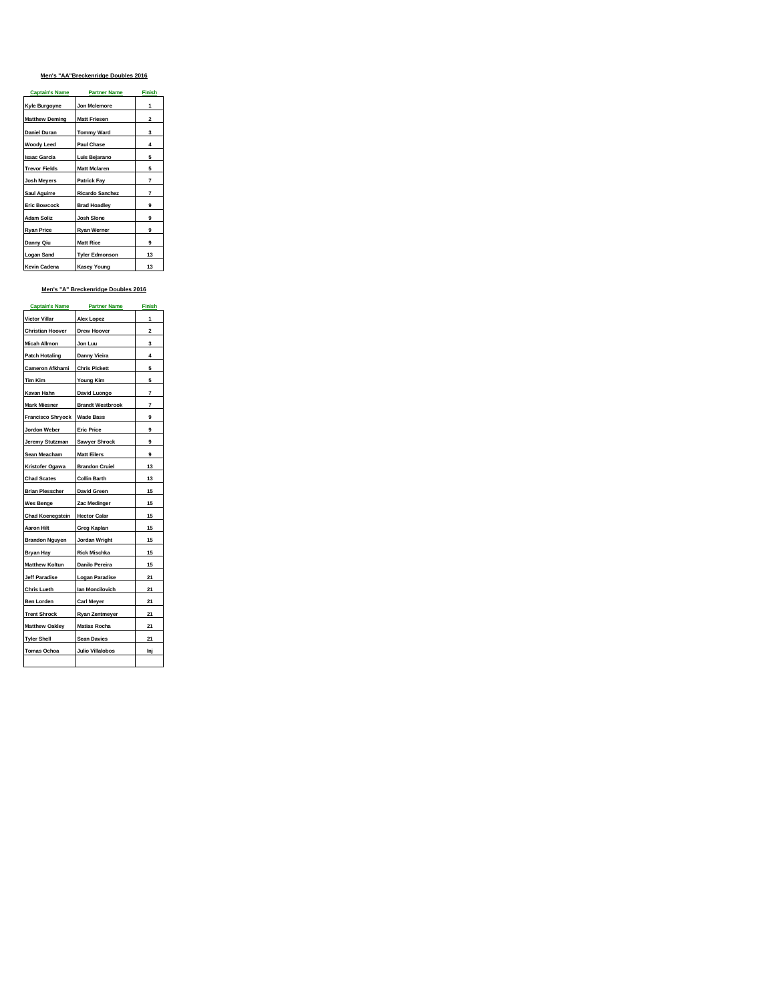# **Men's "AA"Breckenridge Doubles 2016**

| <b>Captain's Name</b> | <b>Partner Name</b>    | <b>Finish</b>  |
|-----------------------|------------------------|----------------|
| Kyle Burgoyne         | Jon Mclemore           | 1              |
| <b>Matthew Deming</b> | <b>Matt Friesen</b>    | $\overline{2}$ |
| <b>Daniel Duran</b>   | <b>Tommy Ward</b>      | 3              |
| <b>Woody Leed</b>     | <b>Paul Chase</b>      | 4              |
| <b>Isaac Garcia</b>   | Luis Bejarano          | 5              |
| <b>Trevor Fields</b>  | <b>Matt Mclaren</b>    | 5              |
| <b>Josh Meyers</b>    | <b>Patrick Fay</b>     | 7              |
| Saul Aguirre          | <b>Ricardo Sanchez</b> | 7              |
| <b>Eric Bowcock</b>   | <b>Brad Hoadley</b>    | 9              |
| <b>Adam Soliz</b>     | Josh Slone             | 9              |
| <b>Ryan Price</b>     | Ryan Werner            | 9              |
| Danny Qiu             | <b>Matt Rice</b>       | 9              |
| <b>Logan Sand</b>     | <b>Tyler Edmonson</b>  | 13             |
| Kevin Cadena          | <b>Kasey Young</b>     | 13             |

# **Men's "A" Breckenridge Doubles 2016**

| <b>Captain's Name</b>    | <b>Partner Name</b>     | <b>Finish</b>           |
|--------------------------|-------------------------|-------------------------|
| Victor Villar            | Alex Lopez              | 1                       |
| <b>Christian Hoover</b>  | <b>Drew Hoover</b>      | $\overline{\mathbf{2}}$ |
| <b>Micah Allmon</b>      | Jon Luu                 | 3                       |
| <b>Patch Hotaling</b>    | Danny Vieira            | 4                       |
| Cameron Afkhami          | <b>Chris Pickett</b>    | 5                       |
| Tim Kim                  | Young Kim               | 5                       |
| Kavan Hahn               | David Luongo            | 7                       |
| <b>Mark Miesner</b>      | <b>Brandt Westbrook</b> | 7                       |
| <b>Francisco Shryock</b> | <b>Wade Bass</b>        | 9                       |
| Jordon Weber             | <b>Eric Price</b>       | 9                       |
| Jeremy Stutzman          | Sawyer Shrock           | 9                       |
| Sean Meacham             | <b>Matt Eilers</b>      | 9                       |
| Kristofer Ogawa          | <b>Brandon Cruiel</b>   | 13                      |
| <b>Chad Scates</b>       | <b>Collin Barth</b>     | 13                      |
| <b>Brian Plesscher</b>   | <b>David Green</b>      | 15                      |
| Wes Benge                | Zac Medinger            | 15                      |
| <b>Chad Koenegstein</b>  | <b>Hector Calar</b>     | 15                      |
| Aaron Hilt               | Greg Kaplan             | 15                      |
| <b>Brandon Nguyen</b>    | Jordan Wright           | 15                      |
| <b>Bryan Hay</b>         | <b>Rick Mischka</b>     | 15                      |
| <b>Matthew Koltun</b>    | Danilo Pereira          | 15                      |
| Jeff Paradise            | <b>Logan Paradise</b>   | 21                      |
| <b>Chris Lueth</b>       | lan Moncilovich         | 21                      |
| Ben Lorden               | Carl Meyer              | 21                      |
| <b>Trent Shrock</b>      | Ryan Zentmeyer          | 21                      |
| <b>Matthew Oakley</b>    | <b>Matias Rocha</b>     | 21                      |
| <b>Tyler Shell</b>       | <b>Sean Davies</b>      | 21                      |
| Tomas Ochoa              | Julio Villalobos        | Inj                     |
|                          |                         |                         |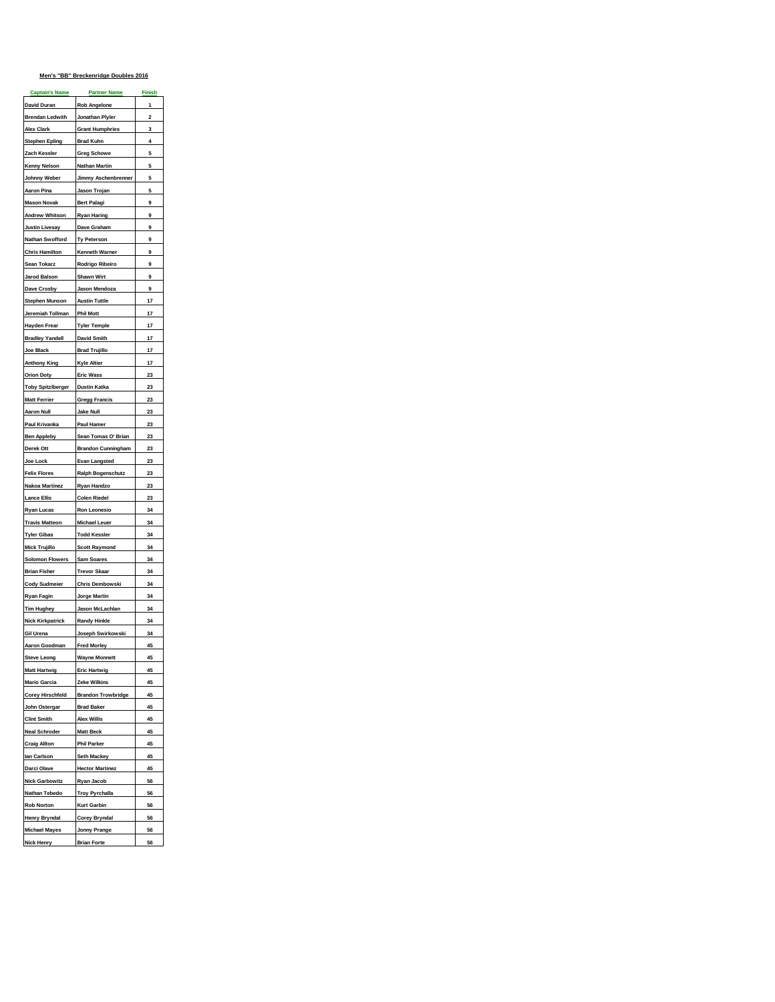# **Men's "BB" Breckenridge Doubles 2016**

| <b>Captain's Name</b>    | <b>Partner Name</b>                        | <b>Finish</b>  |
|--------------------------|--------------------------------------------|----------------|
| David Duran              | Rob Angelone                               | 1              |
| <b>Brendan Ledwith</b>   | Jonathan Plyler                            | $\overline{a}$ |
| Alex Clark               | <b>Grant Humphries</b>                     | 3              |
| <b>Stephen Epling</b>    | <b>Brad Kuhn</b>                           | 4              |
| Zach Kessler             | <b>Greg Schowe</b>                         | 5              |
| Kenny Nelson             | <b>Nathan Martin</b>                       | 5              |
| Johnny Weber             | Jimmy Aschenbrenner                        | 5              |
| Aaron Pina               | Jason Trojan                               | 5              |
| <b>Mason Novak</b>       | Bert Palagi                                | 9              |
| <b>Andrew Whitson</b>    | <b>Ryan Haring</b>                         | 9              |
| <b>Justin Livesay</b>    | Dave Graham                                | 9              |
| Nathan Swofford          | Ty Peterson                                | 9              |
| <b>Chris Hamilton</b>    | Kenneth Warner                             | 9              |
| Sean Tokarz              | Rodrigo Ribeiro                            | 9              |
| Jarod Balson             | <b>Shawn Wirt</b>                          | 9              |
| Dave Crosby              | Jason Mendoza                              | 9              |
| <b>Stephen Munson</b>    | <b>Austin Tuttle</b>                       | 17             |
| Jeremiah Tollman         | <b>Phil Mott</b>                           | 17             |
| Hayden Frear             | <b>Tyler Temple</b>                        | 17             |
| <b>Bradley Yandell</b>   | <b>David Smith</b>                         | 17             |
| Joe Black                |                                            | 17             |
| <b>Anthony King</b>      | <b>Brad Trujillo</b><br><b>Kyle Altier</b> | 17             |
|                          |                                            |                |
| <b>Orion Doty</b>        | <b>Eric Wass</b>                           | 23             |
| <b>Toby Spitzlberger</b> | <b>Dustin Katka</b>                        | 23             |
| <b>Matt Ferrier</b>      | <b>Gregg Francis</b>                       | 23             |
| <b>Aaron Null</b>        | <b>Jake Null</b>                           | 23             |
| Paul Krivanka            | Paul Hamer                                 | 23             |
| <b>Ben Appleby</b>       | Sean Tomas O' Brian                        | 23             |
| Derek Ott                | <b>Brandon Cunningham</b>                  | 23             |
| Joe Lock                 | <b>Evan Langsted</b>                       | 23             |
| <b>Felix Flores</b>      | Ralph Bogenschutz                          | 23             |
| Nakoa Martinez           | Ryan Handzo                                | 23             |
| <b>Lance Ellis</b>       | <b>Colen Riedel</b>                        | 23             |
| Ryan Lucas               | Ron Leonesio                               | 34             |
| <b>Travis Matteon</b>    | <b>Michael Leuer</b>                       | 34             |
| <b>Tyler Gibas</b>       | <b>Todd Kessler</b>                        | 34             |
| <b>Mick Trujillo</b>     | <b>Scott Raymond</b>                       | 34             |
| <b>Solomon Flowers</b>   | Sam Soares                                 | 34             |
| Brian Fisher             | <b>Trevor Skaar</b>                        | 34             |
| <b>Cody Sudmeier</b>     | Chris Dembowski                            | 34             |
| Ryan Fagin               | Jorge Martin                               | 34             |
| Tim Hughey               | Jason McLachlan                            | 34             |
| <b>Nick Kirkpatrick</b>  | <b>Randy Hinkle</b>                        | 34             |
| Gil Urena                | Joseph Swirkowski                          | 34             |
| Aaron Goodman            | <b>Fred Morley</b>                         | 45             |
| <b>Steve Leong</b>       | Wayne Monnett                              | 45             |
| <b>Matt Hartwig</b>      | <b>Eric Hartwig</b>                        | 45             |
| <b>Mario Garcia</b>      | <b>Zeke Wilkins</b>                        | 45             |
| <b>Corey Hirschfeld</b>  | <b>Brandon Trowbridge</b>                  | 45             |
|                          | <b>Brad Baker</b>                          |                |
| John Ostergar            |                                            | 45             |
| <b>Clint Smith</b>       | <b>Alex Willis</b>                         | 45             |
| <b>Neal Schroder</b>     | <b>Matt Beck</b>                           | 45             |
| <b>Craig Allton</b>      | Phil Parker                                | 45             |
| lan Carlson              | Seth Mackey                                | 45             |
| Darci Olave              | <b>Hector Martinez</b>                     | 45             |
| <b>Nick Garbowitz</b>    | Ryan Jacob                                 | 56             |
| Nathan Tebedo            | <b>Troy Pyrchalla</b>                      | 56             |
| <b>Rob Norton</b>        | <b>Kurt Garbin</b>                         | 56             |
| <b>Henry Bryndal</b>     | <b>Corey Bryndal</b>                       | 56             |
| <b>Michael Mayes</b>     | <b>Jonny Prange</b>                        | 56             |
| Nick Henry               | <b>Brian Forte</b>                         | 56             |